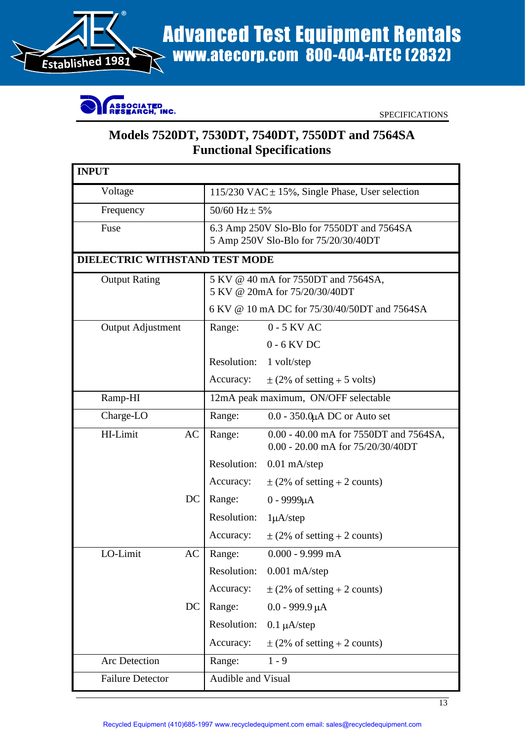

## Advanced Test Equipment Rentals<br>Established 1981<br>Confirence www.atecorp.com 800-404-ATEC (2832) Advanced Test Equipment Rentals



## **Models 7520DT, 7530DT, 7540DT, 7550DT and 7564SA Functional Specifications**

| INPUT                                 |                    |                                                                                    |
|---------------------------------------|--------------------|------------------------------------------------------------------------------------|
| Voltage                               |                    | 115/230 VAC $\pm$ 15%, Single Phase, User selection                                |
| Frequency                             | 50/60 $Hz \pm 5\%$ |                                                                                    |
| Fuse                                  |                    | 6.3 Amp 250V Slo-Blo for 7550DT and 7564SA<br>5 Amp 250V Slo-Blo for 75/20/30/40DT |
| <b>DIELECTRIC WITHSTAND TEST MODE</b> |                    |                                                                                    |
| <b>Output Rating</b>                  |                    | 5 KV @ 40 mA for 7550DT and 7564SA,<br>5 KV @ 20mA for 75/20/30/40DT               |
|                                       |                    | 6 KV @ 10 mA DC for 75/30/40/50DT and 7564SA                                       |
| Output Adjustment                     | Range:             | 0 - 5 KV AC                                                                        |
|                                       |                    | $0$ - $6$ KV DC                                                                    |
|                                       |                    | Resolution: 1 volt/step                                                            |
|                                       |                    | Accuracy: $\pm (2\% \text{ of setting} + 5 \text{ volts})$                         |
| Ramp-HI                               |                    | 12mA peak maximum, ON/OFF selectable                                               |
| Charge-LO                             | Range:             | $0.0$ - 350.0 $\mu$ A DC or Auto set                                               |
| HI-Limit                              | $AC$ Range:        | 0.00 - 40.00 mA for 7550DT and 7564SA,<br>0.00 - 20.00 mA for 75/20/30/40DT        |
|                                       |                    | Resolution: 0.01 mA/step                                                           |
|                                       |                    | Accuracy: $\pm (2\% \text{ of setting} + 2 \text{ counts})$                        |
|                                       | $DC \mid Range$ :  | 0 - 9999μA                                                                         |
|                                       |                    | Resolution: 1µA/step                                                               |
|                                       |                    | Accuracy: $\pm (2\% \text{ of setting} + 2 \text{ counts})$                        |
| LO-Limit                              | $AC$ Range:        | $0.000$ - 9.999 mA                                                                 |
|                                       |                    | Resolution: 0.001 mA/step                                                          |
|                                       |                    | Accuracy: $\pm (2\% \text{ of setting} + 2 \text{ counts})$                        |
|                                       |                    | DC   Range: $0.0 - 999.9 \mu A$                                                    |
|                                       |                    | Resolution: $0.1 \mu A/\text{step}$                                                |
|                                       |                    | Accuracy: $\pm (2\% \text{ of setting} + 2 \text{ counts})$                        |
| Arc Detection                         |                    | Range: 1 - 9                                                                       |
| <b>Failure Detector</b>               |                    | Audible and Visual                                                                 |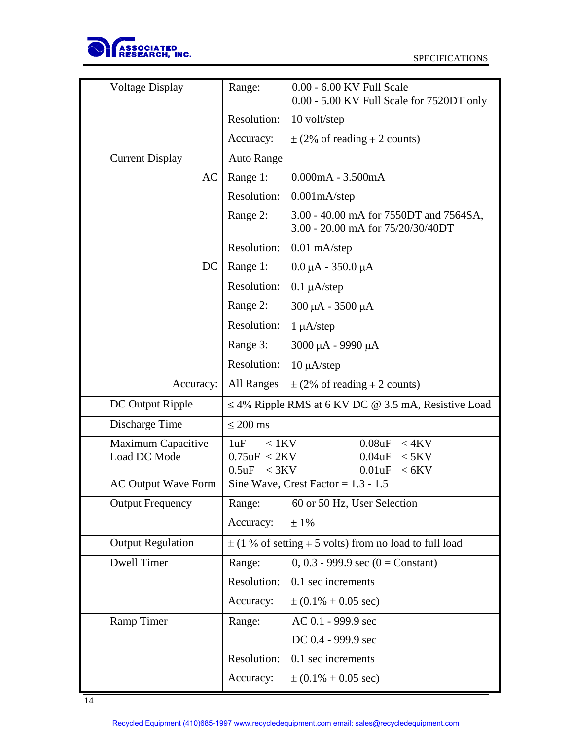

| Voltage Display                    | 0.00 - 6.00 KV Full Scale<br>Range:                                                  |
|------------------------------------|--------------------------------------------------------------------------------------|
|                                    | 0.00 - 5.00 KV Full Scale for 7520DT only                                            |
|                                    | Resolution: 10 volt/step                                                             |
|                                    | Accuracy: $\pm (2\% \text{ of reading} + 2 \text{ counts})$                          |
| <b>Current Display</b>             | <b>Auto Range</b>                                                                    |
|                                    | $AC   Range 1: 0.000mA - 3.500mA$                                                    |
|                                    | Resolution: 0.001mA/step                                                             |
|                                    | Range 2: 3.00 - 40.00 mA for 7550DT and 7564SA,<br>3.00 - 20.00 mA for 75/20/30/40DT |
|                                    | Resolution: 0.01 mA/step                                                             |
|                                    | DC   Range 1: $0.0 \mu A - 350.0 \mu A$                                              |
|                                    | Resolution: 0.1 µA/step                                                              |
|                                    | Range 2: $300 \mu A - 3500 \mu A$                                                    |
|                                    | Resolution: $1 \mu A / step$                                                         |
|                                    | Range 3: $3000 \mu A - 9990 \mu A$                                                   |
|                                    | Resolution: $10 \mu A/\text{step}$                                                   |
|                                    | Accuracy:   All Ranges $\pm$ (2% of reading + 2 counts)                              |
| DC Output Ripple                   | $\leq$ 4% Ripple RMS at 6 KV DC @ 3.5 mA, Resistive Load                             |
| Discharge Time                     | $\leq$ 200 ms                                                                        |
|                                    | $0.08$ u $F < 4$ KV                                                                  |
| Maximum Capacitive<br>Load DC Mode | $1uF \sim 1KV$<br>0.04uF < 5KV<br>$0.75$ u $F < 2KV$                                 |
|                                    | 0.5uF < 3KV<br>0.01uF < 6KV                                                          |
|                                    | AC Output Wave Form   Sine Wave, Crest Factor = $1.3 - 1.5$                          |
| <b>Output Frequency</b>            | 60 or 50 Hz, User Selection<br>Range:                                                |
|                                    | Accuracy: $\pm 1\%$                                                                  |
| <b>Output Regulation</b>           | $\pm$ (1 % of setting + 5 volts) from no load to full load                           |
| Dwell Timer                        | 0, 0.3 - 999.9 sec (0 = Constant)<br>Range:                                          |
|                                    | Resolution: 0.1 sec increments                                                       |
|                                    | Accuracy: $\pm (0.1\% + 0.05 \text{ sec})$                                           |
| Ramp Timer                         | AC 0.1 - 999.9 sec<br>Range:                                                         |
|                                    | DC 0.4 - 999.9 sec                                                                   |
|                                    | Resolution: 0.1 sec increments                                                       |
|                                    | Accuracy: $\pm (0.1\% + 0.05 \text{ sec})$                                           |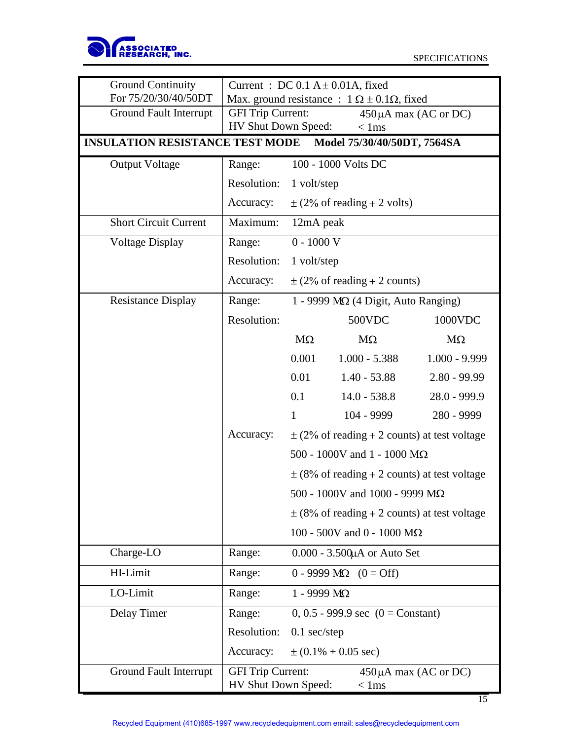

15

| <b>Ground Continuity</b><br>For 75/20/30/40/50DT            |                   | Current : DC $0.1 A \pm 0.01 A$ , fixed    | Max. ground resistance : $1 \Omega \pm 0.1 \Omega$ , fixed |                                                  |
|-------------------------------------------------------------|-------------------|--------------------------------------------|------------------------------------------------------------|--------------------------------------------------|
| <b>Ground Fault Interrupt</b>                               | GFI Trip Current: |                                            |                                                            | $450\mu A$ max (AC or DC)                        |
| INSULATION RESISTANCE TEST MODE Model 75/30/40/50DT, 7564SA |                   | HV Shut Down Speed:                        | $< 1$ ms                                                   |                                                  |
| <b>Output Voltage</b>                                       | Range:            | $100 - 1000$ Volts DC                      |                                                            |                                                  |
|                                                             |                   | Resolution: 1 volt/step                    |                                                            |                                                  |
|                                                             |                   |                                            | Accuracy: $\pm (2\% \text{ of reading} + 2 \text{ volts})$ |                                                  |
| <b>Short Circuit Current</b>                                |                   | Maximum: 12mA peak                         |                                                            |                                                  |
| Voltage Display                                             | Range:            | $0$ - $1000$ V                             |                                                            |                                                  |
|                                                             |                   | Resolution: 1 volt/step                    |                                                            |                                                  |
|                                                             | Accuracy:         |                                            | $\pm$ (2% of reading + 2 counts)                           |                                                  |
| <b>Resistance Display</b>                                   | Range:            |                                            | 1 - 9999 MQ (4 Digit, Auto Ranging)                        |                                                  |
|                                                             | Resolution:       |                                            | 500VDC                                                     | 1000VDC                                          |
|                                                             |                   | $M\Omega$<br>0.001                         | $M\Omega$<br>$1.000 - 5.388$                               | $\rm M\Omega$<br>$1.000 - 9.999$                 |
|                                                             |                   | 0.01                                       | $1.40 - 53.88$                                             | $2.80 - 99.99$                                   |
|                                                             |                   | 0.1                                        | $14.0 - 538.8$                                             | 28.0 - 999.9                                     |
|                                                             |                   |                                            | 104 - 9999                                                 | 280 - 9999                                       |
|                                                             | Accuracy:         |                                            |                                                            | $\pm$ (2% of reading + 2 counts) at test voltage |
|                                                             |                   |                                            | 500 - 1000V and 1 - 1000 M $\Omega$                        |                                                  |
|                                                             |                   |                                            |                                                            | $\pm$ (8% of reading + 2 counts) at test voltage |
|                                                             |                   |                                            | 500 - 1000V and 1000 - 9999 $\text{M}\Omega$               |                                                  |
|                                                             |                   |                                            |                                                            | $\pm$ (8% of reading + 2 counts) at test voltage |
|                                                             |                   |                                            | 100 - 500V and 0 - 1000 $\rm{M}\Omega$                     |                                                  |
| Charge-LO                                                   | Range:            |                                            | 0.000 - 3.500µA or Auto Set                                |                                                  |
| HI-Limit                                                    | Range:            |                                            | $0 - 9999 \text{ M}\Omega$ $(0 = \text{Off})$              |                                                  |
| LO-Limit                                                    | Range:            | 1 - 9999 ΜΩ                                |                                                            |                                                  |
| Delay Timer                                                 | Range:            |                                            | 0, 0.5 - 999.9 sec $(0 = Constant)$                        |                                                  |
|                                                             |                   | Resolution: 0.1 sec/step                   |                                                            |                                                  |
| <b>Ground Fault Interrupt</b>                               |                   | Accuracy: $\pm (0.1\% + 0.05 \text{ sec})$ |                                                            |                                                  |
|                                                             | GFI Trip Current: | HV Shut Down Speed:                        | $< 1$ ms                                                   | $450\mu A$ max (AC or DC)                        |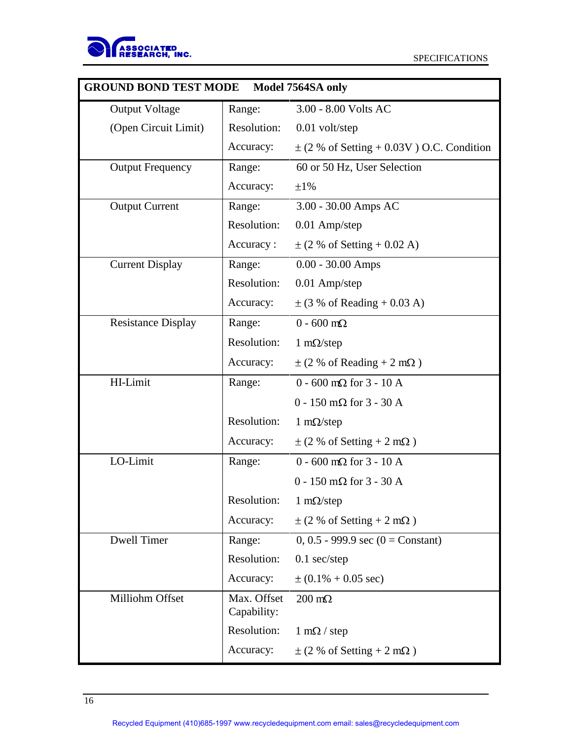

| <b>GROUND BOND TEST MODE</b> Model 7564SA only |                                   |                                                              |
|------------------------------------------------|-----------------------------------|--------------------------------------------------------------|
| <b>Output Voltage</b>                          | Range:                            | 3.00 - 8.00 Volts AC                                         |
| (Open Circuit Limit)                           |                                   | Resolution: 0.01 volt/step                                   |
|                                                | Accuracy:                         | $\pm$ (2 % of Setting + 0.03V) O.C. Condition                |
| <b>Output Frequency</b>                        | Range:                            | 60 or 50 Hz, User Selection                                  |
|                                                | Accuracy:                         | $\pm1\%$                                                     |
| <b>Output Current</b>                          | Range:                            | 3.00 - 30.00 Amps AC                                         |
|                                                | Resolution:                       | 0.01 Amp/step                                                |
|                                                | Accuracy:                         | $\pm$ (2 % of Setting + 0.02 A)                              |
| <b>Current Display</b>                         | Range:                            | $0.00$ - 30.00 Amps                                          |
|                                                | Resolution:                       | 0.01 Amp/step                                                |
|                                                | Accuracy:                         | $\pm$ (3 % of Reading + 0.03 A)                              |
| <b>Resistance Display</b>                      | Range:                            | $0$ - 600 m $\Omega$                                         |
|                                                | Resolution:                       | $1 \text{ m}\Omega/\text{step}$                              |
|                                                | Accuracy:                         | $\pm$ (2 % of Reading + 2 m $\Omega$ )                       |
| HI-Limit                                       | Range:                            | $0$ - 600 m $\Omega$ for 3 - 10 A                            |
|                                                |                                   | $0$ - 150 m $\Omega$ for 3 - 30 A                            |
|                                                | Resolution:                       | $1 \text{ m}\Omega/\text{step}$                              |
|                                                | Accuracy:                         | $\pm$ (2 % of Setting + 2 m $\Omega$ )                       |
| LO-Limit                                       | Range:                            | $0$ - 600 m $\Omega$ for 3 - 10 A                            |
|                                                |                                   | $0$ - 150 m $\Omega$ for 3 - 30 A                            |
|                                                |                                   | Resolution: $1 \text{ m}\Omega/\text{step}$                  |
|                                                |                                   | Accuracy: $\pm (2\% \text{ of Setting} + 2 \text{ m}\Omega)$ |
| Dwell Timer                                    | Range:                            | 0, 0.5 - 999.9 sec (0 = Constant)                            |
|                                                |                                   | Resolution: 0.1 sec/step                                     |
|                                                |                                   | Accuracy: $\pm (0.1\% + 0.05 \text{ sec})$                   |
| Milliohm Offset                                | Max. Offset $200 \text{ m}\Omega$ |                                                              |
|                                                | Capability:                       |                                                              |
|                                                |                                   | Resolution: $1 \text{ m}\Omega / \text{step}$                |
|                                                |                                   | Accuracy: $\pm (2\% \text{ of Setting} + 2 \text{ m}\Omega)$ |